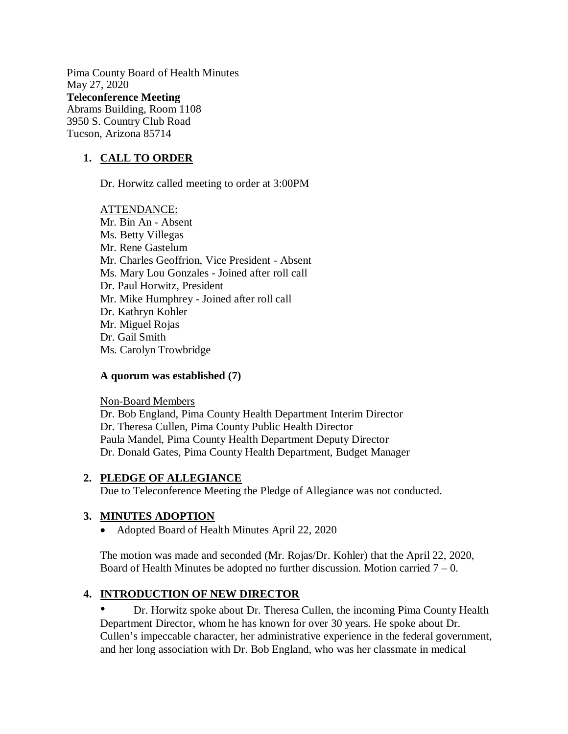Pima County Board of Health Minutes May 27, 2020 **Teleconference Meeting**  Abrams Building, Room 1108 3950 S. Country Club Road Tucson, Arizona 85714

### **1. CALL TO ORDER**

Dr. Horwitz called meeting to order at 3:00PM

ATTENDANCE: Mr. Bin An - Absent Ms. Betty Villegas Mr. Rene Gastelum Mr. Charles Geoffrion, Vice President - Absent Ms. Mary Lou Gonzales - Joined after roll call Dr. Paul Horwitz, President Mr. Mike Humphrey - Joined after roll call Dr. Kathryn Kohler Mr. Miguel Rojas Dr. Gail Smith Ms. Carolyn Trowbridge

#### **A quorum was established (7)**

Non-Board Members Dr. Bob England, Pima County Health Department Interim Director Dr. Theresa Cullen, Pima County Public Health Director Paula Mandel, Pima County Health Department Deputy Director Dr. Donald Gates, Pima County Health Department, Budget Manager

#### **2. PLEDGE OF ALLEGIANCE**

Due to Teleconference Meeting the Pledge of Allegiance was not conducted.

#### **3. MINUTES ADOPTION**

• Adopted Board of Health Minutes April 22, 2020

The motion was made and seconded (Mr. Rojas/Dr. Kohler) that the April 22, 2020, Board of Health Minutes be adopted no further discussion. Motion carried  $7 - 0$ .

#### **4. INTRODUCTION OF NEW DIRECTOR**

• Dr. Horwitz spoke about Dr. Theresa Cullen, the incoming Pima County Health Department Director, whom he has known for over 30 years. He spoke about Dr. Cullen's impeccable character, her administrative experience in the federal government, and her long association with Dr. Bob England, who was her classmate in medical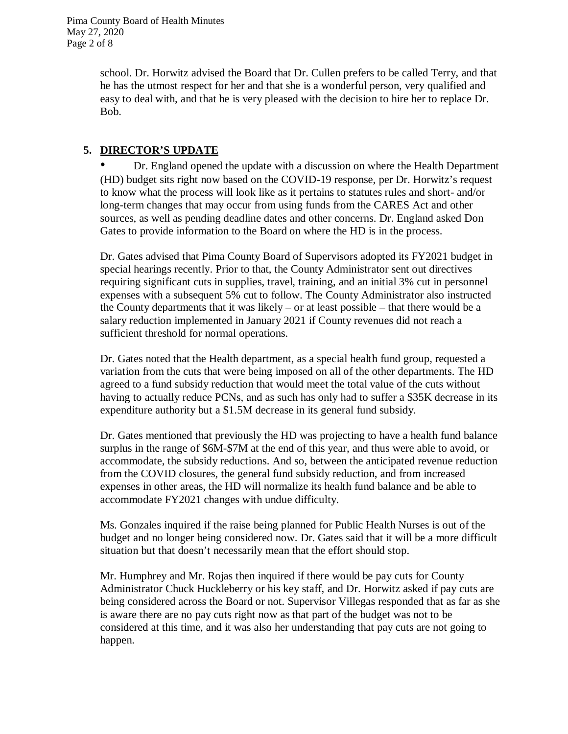school. Dr. Horwitz advised the Board that Dr. Cullen prefers to be called Terry, and that he has the utmost respect for her and that she is a wonderful person, very qualified and easy to deal with, and that he is very pleased with the decision to hire her to replace Dr. Bob.

### **5. DIRECTOR'S UPDATE**

• Dr. England opened the update with a discussion on where the Health Department (HD) budget sits right now based on the COVID-19 response, per Dr. Horwitz's request to know what the process will look like as it pertains to statutes rules and short- and/or long-term changes that may occur from using funds from the CARES Act and other sources, as well as pending deadline dates and other concerns. Dr. England asked Don Gates to provide information to the Board on where the HD is in the process.

Dr. Gates advised that Pima County Board of Supervisors adopted its FY2021 budget in special hearings recently. Prior to that, the County Administrator sent out directives requiring significant cuts in supplies, travel, training, and an initial 3% cut in personnel expenses with a subsequent 5% cut to follow. The County Administrator also instructed the County departments that it was likely – or at least possible – that there would be a salary reduction implemented in January 2021 if County revenues did not reach a sufficient threshold for normal operations.

Dr. Gates noted that the Health department, as a special health fund group, requested a variation from the cuts that were being imposed on all of the other departments. The HD agreed to a fund subsidy reduction that would meet the total value of the cuts without having to actually reduce PCNs, and as such has only had to suffer a \$35K decrease in its expenditure authority but a \$1.5M decrease in its general fund subsidy.

Dr. Gates mentioned that previously the HD was projecting to have a health fund balance surplus in the range of \$6M-\$7M at the end of this year, and thus were able to avoid, or accommodate, the subsidy reductions. And so, between the anticipated revenue reduction from the COVID closures, the general fund subsidy reduction, and from increased expenses in other areas, the HD will normalize its health fund balance and be able to accommodate FY2021 changes with undue difficulty.

Ms. Gonzales inquired if the raise being planned for Public Health Nurses is out of the budget and no longer being considered now. Dr. Gates said that it will be a more difficult situation but that doesn't necessarily mean that the effort should stop.

Mr. Humphrey and Mr. Rojas then inquired if there would be pay cuts for County Administrator Chuck Huckleberry or his key staff, and Dr. Horwitz asked if pay cuts are being considered across the Board or not. Supervisor Villegas responded that as far as she is aware there are no pay cuts right now as that part of the budget was not to be considered at this time, and it was also her understanding that pay cuts are not going to happen.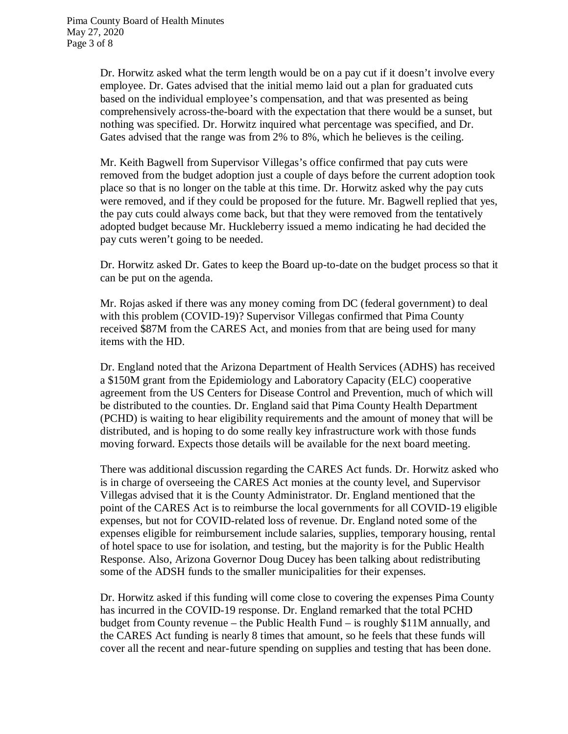Dr. Horwitz asked what the term length would be on a pay cut if it doesn't involve every employee. Dr. Gates advised that the initial memo laid out a plan for graduated cuts based on the individual employee's compensation, and that was presented as being comprehensively across-the-board with the expectation that there would be a sunset, but nothing was specified. Dr. Horwitz inquired what percentage was specified, and Dr. Gates advised that the range was from 2% to 8%, which he believes is the ceiling.

Mr. Keith Bagwell from Supervisor Villegas's office confirmed that pay cuts were removed from the budget adoption just a couple of days before the current adoption took place so that is no longer on the table at this time. Dr. Horwitz asked why the pay cuts were removed, and if they could be proposed for the future. Mr. Bagwell replied that yes, the pay cuts could always come back, but that they were removed from the tentatively adopted budget because Mr. Huckleberry issued a memo indicating he had decided the pay cuts weren't going to be needed.

Dr. Horwitz asked Dr. Gates to keep the Board up-to-date on the budget process so that it can be put on the agenda.

Mr. Rojas asked if there was any money coming from DC (federal government) to deal with this problem (COVID-19)? Supervisor Villegas confirmed that Pima County received \$87M from the CARES Act, and monies from that are being used for many items with the HD.

Dr. England noted that the Arizona Department of Health Services (ADHS) has received a \$150M grant from the Epidemiology and Laboratory Capacity (ELC) cooperative agreement from the US Centers for Disease Control and Prevention, much of which will be distributed to the counties. Dr. England said that Pima County Health Department (PCHD) is waiting to hear eligibility requirements and the amount of money that will be distributed, and is hoping to do some really key infrastructure work with those funds moving forward. Expects those details will be available for the next board meeting.

There was additional discussion regarding the CARES Act funds. Dr. Horwitz asked who is in charge of overseeing the CARES Act monies at the county level, and Supervisor Villegas advised that it is the County Administrator. Dr. England mentioned that the point of the CARES Act is to reimburse the local governments for all COVID-19 eligible expenses, but not for COVID-related loss of revenue. Dr. England noted some of the expenses eligible for reimbursement include salaries, supplies, temporary housing, rental of hotel space to use for isolation, and testing, but the majority is for the Public Health Response. Also, Arizona Governor Doug Ducey has been talking about redistributing some of the ADSH funds to the smaller municipalities for their expenses.

Dr. Horwitz asked if this funding will come close to covering the expenses Pima County has incurred in the COVID-19 response. Dr. England remarked that the total PCHD budget from County revenue – the Public Health Fund – is roughly \$11M annually, and the CARES Act funding is nearly 8 times that amount, so he feels that these funds will cover all the recent and near-future spending on supplies and testing that has been done.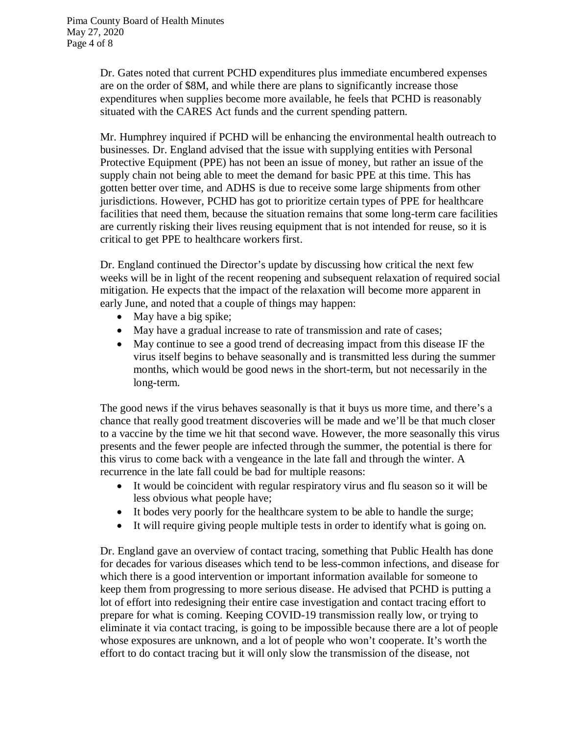Dr. Gates noted that current PCHD expenditures plus immediate encumbered expenses are on the order of \$8M, and while there are plans to significantly increase those expenditures when supplies become more available, he feels that PCHD is reasonably situated with the CARES Act funds and the current spending pattern.

Mr. Humphrey inquired if PCHD will be enhancing the environmental health outreach to businesses. Dr. England advised that the issue with supplying entities with Personal Protective Equipment (PPE) has not been an issue of money, but rather an issue of the supply chain not being able to meet the demand for basic PPE at this time. This has gotten better over time, and ADHS is due to receive some large shipments from other jurisdictions. However, PCHD has got to prioritize certain types of PPE for healthcare facilities that need them, because the situation remains that some long-term care facilities are currently risking their lives reusing equipment that is not intended for reuse, so it is critical to get PPE to healthcare workers first.

Dr. England continued the Director's update by discussing how critical the next few weeks will be in light of the recent reopening and subsequent relaxation of required social mitigation. He expects that the impact of the relaxation will become more apparent in early June, and noted that a couple of things may happen:

- May have a big spike;
- May have a gradual increase to rate of transmission and rate of cases;
- May continue to see a good trend of decreasing impact from this disease IF the virus itself begins to behave seasonally and is transmitted less during the summer months, which would be good news in the short-term, but not necessarily in the long-term.

The good news if the virus behaves seasonally is that it buys us more time, and there's a chance that really good treatment discoveries will be made and we'll be that much closer to a vaccine by the time we hit that second wave. However, the more seasonally this virus presents and the fewer people are infected through the summer, the potential is there for this virus to come back with a vengeance in the late fall and through the winter. A recurrence in the late fall could be bad for multiple reasons:

- It would be coincident with regular respiratory virus and flu season so it will be less obvious what people have;
- It bodes very poorly for the healthcare system to be able to handle the surge;
- It will require giving people multiple tests in order to identify what is going on.

Dr. England gave an overview of contact tracing, something that Public Health has done for decades for various diseases which tend to be less-common infections, and disease for which there is a good intervention or important information available for someone to keep them from progressing to more serious disease. He advised that PCHD is putting a lot of effort into redesigning their entire case investigation and contact tracing effort to prepare for what is coming. Keeping COVID-19 transmission really low, or trying to eliminate it via contact tracing, is going to be impossible because there are a lot of people whose exposures are unknown, and a lot of people who won't cooperate. It's worth the effort to do contact tracing but it will only slow the transmission of the disease, not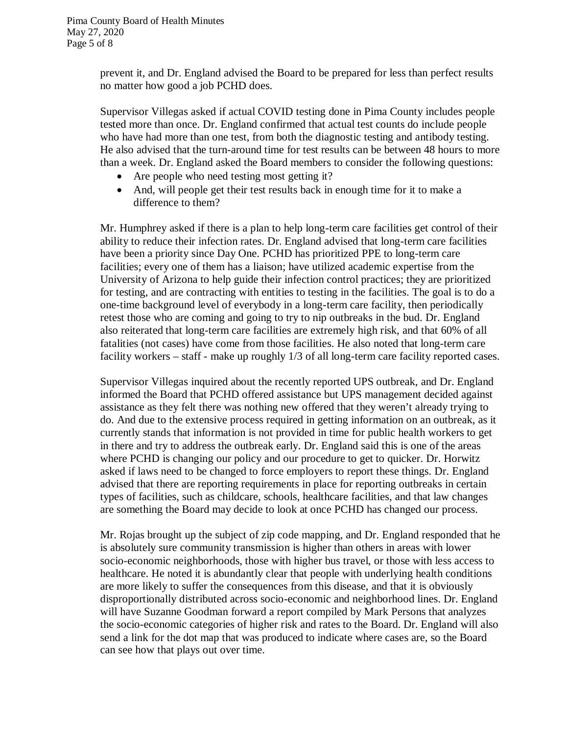prevent it, and Dr. England advised the Board to be prepared for less than perfect results no matter how good a job PCHD does.

Supervisor Villegas asked if actual COVID testing done in Pima County includes people tested more than once. Dr. England confirmed that actual test counts do include people who have had more than one test, from both the diagnostic testing and antibody testing. He also advised that the turn-around time for test results can be between 48 hours to more than a week. Dr. England asked the Board members to consider the following questions:

- Are people who need testing most getting it?
- And, will people get their test results back in enough time for it to make a difference to them?

Mr. Humphrey asked if there is a plan to help long-term care facilities get control of their ability to reduce their infection rates. Dr. England advised that long-term care facilities have been a priority since Day One. PCHD has prioritized PPE to long-term care facilities; every one of them has a liaison; have utilized academic expertise from the University of Arizona to help guide their infection control practices; they are prioritized for testing, and are contracting with entities to testing in the facilities. The goal is to do a one-time background level of everybody in a long-term care facility, then periodically retest those who are coming and going to try to nip outbreaks in the bud. Dr. England also reiterated that long-term care facilities are extremely high risk, and that 60% of all fatalities (not cases) have come from those facilities. He also noted that long-term care facility workers – staff - make up roughly 1/3 of all long-term care facility reported cases.

Supervisor Villegas inquired about the recently reported UPS outbreak, and Dr. England informed the Board that PCHD offered assistance but UPS management decided against assistance as they felt there was nothing new offered that they weren't already trying to do. And due to the extensive process required in getting information on an outbreak, as it currently stands that information is not provided in time for public health workers to get in there and try to address the outbreak early. Dr. England said this is one of the areas where PCHD is changing our policy and our procedure to get to quicker. Dr. Horwitz asked if laws need to be changed to force employers to report these things. Dr. England advised that there are reporting requirements in place for reporting outbreaks in certain types of facilities, such as childcare, schools, healthcare facilities, and that law changes are something the Board may decide to look at once PCHD has changed our process.

Mr. Rojas brought up the subject of zip code mapping, and Dr. England responded that he is absolutely sure community transmission is higher than others in areas with lower socio-economic neighborhoods, those with higher bus travel, or those with less access to healthcare. He noted it is abundantly clear that people with underlying health conditions are more likely to suffer the consequences from this disease, and that it is obviously disproportionally distributed across socio-economic and neighborhood lines. Dr. England will have Suzanne Goodman forward a report compiled by Mark Persons that analyzes the socio-economic categories of higher risk and rates to the Board. Dr. England will also send a link for the dot map that was produced to indicate where cases are, so the Board can see how that plays out over time.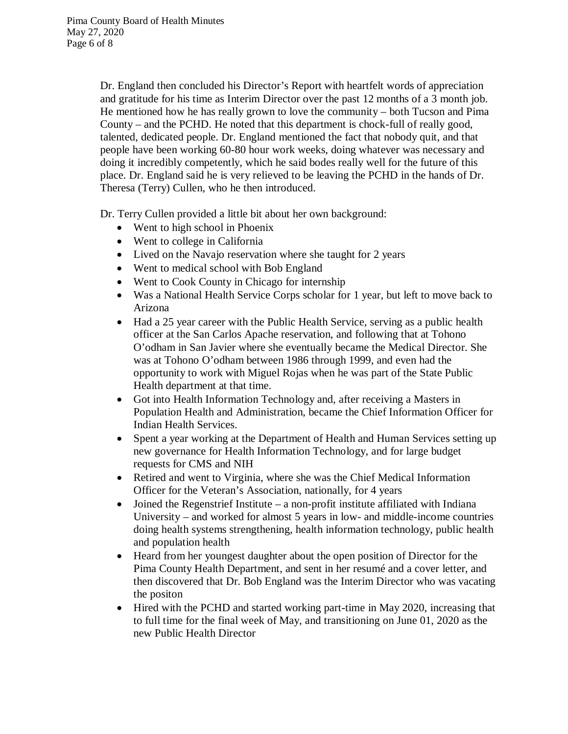Dr. England then concluded his Director's Report with heartfelt words of appreciation and gratitude for his time as Interim Director over the past 12 months of a 3 month job. He mentioned how he has really grown to love the community – both Tucson and Pima County – and the PCHD. He noted that this department is chock-full of really good, talented, dedicated people. Dr. England mentioned the fact that nobody quit, and that people have been working 60-80 hour work weeks, doing whatever was necessary and doing it incredibly competently, which he said bodes really well for the future of this place. Dr. England said he is very relieved to be leaving the PCHD in the hands of Dr. Theresa (Terry) Cullen, who he then introduced.

Dr. Terry Cullen provided a little bit about her own background:

- Went to high school in Phoenix
- Went to college in California
- Lived on the Navajo reservation where she taught for 2 years
- Went to medical school with Bob England
- Went to Cook County in Chicago for internship
- Was a National Health Service Corps scholar for 1 year, but left to move back to Arizona
- Had a 25 year career with the Public Health Service, serving as a public health officer at the San Carlos Apache reservation, and following that at Tohono O'odham in San Javier where she eventually became the Medical Director. She was at Tohono O'odham between 1986 through 1999, and even had the opportunity to work with Miguel Rojas when he was part of the State Public Health department at that time.
- Got into Health Information Technology and, after receiving a Masters in Population Health and Administration, became the Chief Information Officer for Indian Health Services.
- Spent a year working at the Department of Health and Human Services setting up new governance for Health Information Technology, and for large budget requests for CMS and NIH
- Retired and went to Virginia, where she was the Chief Medical Information Officer for the Veteran's Association, nationally, for 4 years
- $\bullet$  Joined the Regenstrief Institute a non-profit institute affiliated with Indiana University – and worked for almost 5 years in low- and middle-income countries doing health systems strengthening, health information technology, public health and population health
- Heard from her youngest daughter about the open position of Director for the Pima County Health Department, and sent in her resumé and a cover letter, and then discovered that Dr. Bob England was the Interim Director who was vacating the positon
- Hired with the PCHD and started working part-time in May 2020, increasing that to full time for the final week of May, and transitioning on June 01, 2020 as the new Public Health Director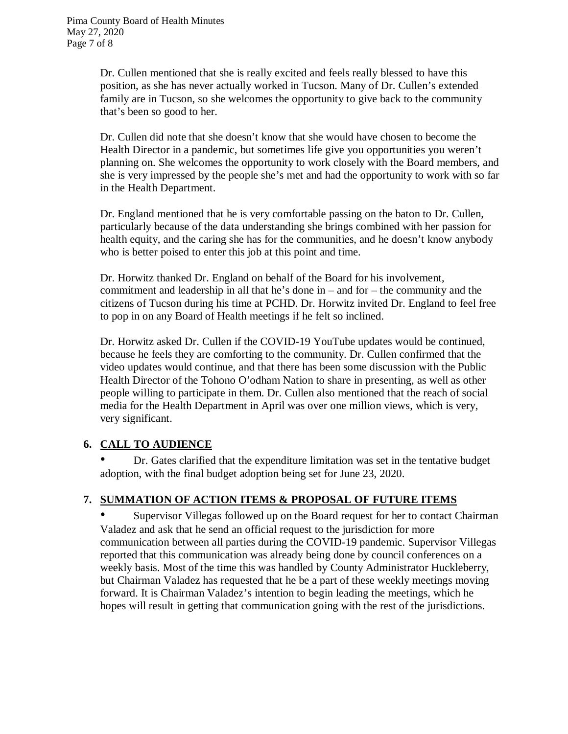Dr. Cullen mentioned that she is really excited and feels really blessed to have this position, as she has never actually worked in Tucson. Many of Dr. Cullen's extended family are in Tucson, so she welcomes the opportunity to give back to the community that's been so good to her.

Dr. Cullen did note that she doesn't know that she would have chosen to become the Health Director in a pandemic, but sometimes life give you opportunities you weren't planning on. She welcomes the opportunity to work closely with the Board members, and she is very impressed by the people she's met and had the opportunity to work with so far in the Health Department.

Dr. England mentioned that he is very comfortable passing on the baton to Dr. Cullen, particularly because of the data understanding she brings combined with her passion for health equity, and the caring she has for the communities, and he doesn't know anybody who is better poised to enter this job at this point and time.

Dr. Horwitz thanked Dr. England on behalf of the Board for his involvement, commitment and leadership in all that he's done in – and for – the community and the citizens of Tucson during his time at PCHD. Dr. Horwitz invited Dr. England to feel free to pop in on any Board of Health meetings if he felt so inclined.

Dr. Horwitz asked Dr. Cullen if the COVID-19 YouTube updates would be continued, because he feels they are comforting to the community. Dr. Cullen confirmed that the video updates would continue, and that there has been some discussion with the Public Health Director of the Tohono O'odham Nation to share in presenting, as well as other people willing to participate in them. Dr. Cullen also mentioned that the reach of social media for the Health Department in April was over one million views, which is very, very significant.

# **6. CALL TO AUDIENCE**

• Dr. Gates clarified that the expenditure limitation was set in the tentative budget adoption, with the final budget adoption being set for June 23, 2020.

# **7. SUMMATION OF ACTION ITEMS & PROPOSAL OF FUTURE ITEMS**

• Supervisor Villegas followed up on the Board request for her to contact Chairman Valadez and ask that he send an official request to the jurisdiction for more communication between all parties during the COVID-19 pandemic. Supervisor Villegas reported that this communication was already being done by council conferences on a weekly basis. Most of the time this was handled by County Administrator Huckleberry, but Chairman Valadez has requested that he be a part of these weekly meetings moving forward. It is Chairman Valadez's intention to begin leading the meetings, which he hopes will result in getting that communication going with the rest of the jurisdictions.